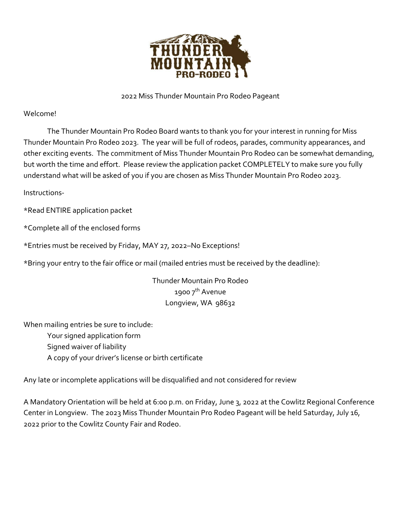

#### 2022 Miss Thunder Mountain Pro Rodeo Pageant

#### Welcome!

The Thunder Mountain Pro Rodeo Board wants to thank you for your interest in running for Miss Thunder Mountain Pro Rodeo 2023. The year will be full of rodeos, parades, community appearances, and other exciting events. The commitment of Miss Thunder Mountain Pro Rodeo can be somewhat demanding, but worth the time and effort. Please review the application packet COMPLETELY to make sure you fully understand what will be asked of you if you are chosen as Miss Thunder Mountain Pro Rodeo 2023.

Instructions-

\*Read ENTIRE application packet

\*Complete all of the enclosed forms

\*Entries must be received by Friday, MAY 27, 2022–No Exceptions!

\*Bring your entry to the fair office or mail (mailed entries must be received by the deadline):

Thunder Mountain Pro Rodeo 1900 7<sup>th</sup> Avenue Longview, WA 98632

When mailing entries be sure to include:

Your signed application form Signed waiver of liability A copy of your driver's license or birth certificate

Any late or incomplete applications will be disqualified and not considered for review

A Mandatory Orientation will be held at 6:00 p.m. on Friday, June 3, 2022 at the Cowlitz Regional Conference Center in Longview. The 2023 Miss Thunder Mountain Pro Rodeo Pageant will be held Saturday, July 16, 2022 prior to the Cowlitz County Fair and Rodeo.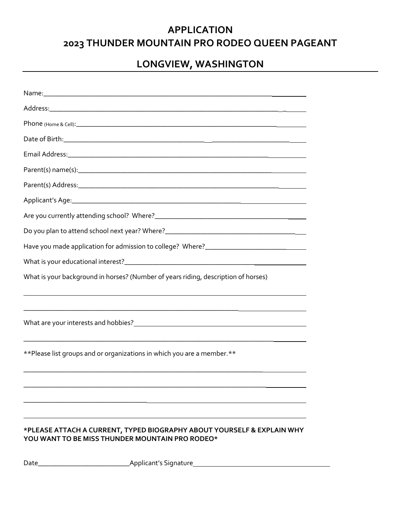### **APPLICATION 2023 THUNDER MOUNTAIN PRO RODEO QUEEN PAGEANT**

### **LONGVIEW, WASHINGTON**

| Have you made application for admission to college? Where?_______________________                                         |
|---------------------------------------------------------------------------------------------------------------------------|
|                                                                                                                           |
| What is your background in horses? (Number of years riding, description of horses)                                        |
|                                                                                                                           |
|                                                                                                                           |
| ** Please list groups and or organizations in which you are a member.**                                                   |
|                                                                                                                           |
|                                                                                                                           |
|                                                                                                                           |
| *PLEASE ATTACH A CURRENT, TYPED BIOGRAPHY ABOUT YOURSELF & EXPLAIN WHY<br>YOU WANT TO BE MISS THUNDER MOUNTAIN PRO RODEO* |

Date\_\_\_\_\_\_\_\_\_\_\_\_\_\_\_\_\_\_\_\_\_\_\_\_\_\_Applicant's Signature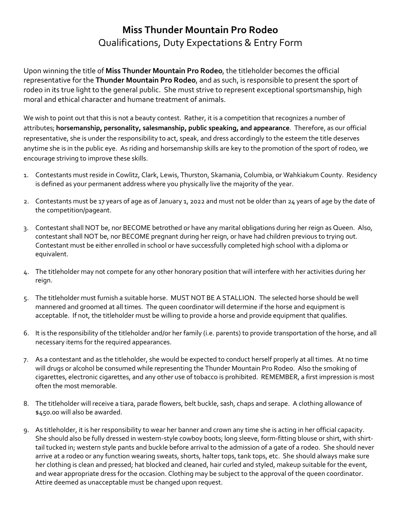## **Miss Thunder Mountain Pro Rodeo** Qualifications, Duty Expectations & Entry Form

Upon winning the title of **Miss Thunder Mountain Pro Rodeo**, the titleholder becomes the official representative for the **Thunder Mountain Pro Rodeo**, and as such, is responsible to present the sport of rodeo in its true light to the general public. She must strive to represent exceptional sportsmanship, high moral and ethical character and humane treatment of animals.

We wish to point out that this is not a beauty contest. Rather, it is a competition that recognizes a number of attributes; **horsemanship, personality, salesmanship, public speaking, and appearance**. Therefore, as our official representative, she is under the responsibility to act, speak, and dress accordingly to the esteem the title deserves anytime she is in the public eye. As riding and horsemanship skills are key to the promotion of the sport of rodeo, we encourage striving to improve these skills.

- 1. Contestants must reside in Cowlitz, Clark, Lewis, Thurston, Skamania, Columbia, or Wahkiakum County. Residency is defined as your permanent address where you physically live the majority of the year.
- 2. Contestants must be 17 years of age as of January 1, 2022 and must not be older than 24 years of age by the date of the competition/pageant.
- 3. Contestant shall NOT be, nor BECOME betrothed or have any marital obligations during her reign as Queen. Also, contestant shall NOT be, nor BECOME pregnant during her reign, or have had children previous to trying out. Contestant must be either enrolled in school or have successfully completed high school with a diploma or equivalent.
- 4. The titleholder may not compete for any other honorary position that will interfere with her activities during her reign.
- 5. The titleholder must furnish a suitable horse. MUST NOT BE A STALLION. The selected horse should be well mannered and groomed at all times. The queen coordinator will determine if the horse and equipment is acceptable. If not, the titleholder must be willing to provide a horse and provide equipment that qualifies.
- 6. It is the responsibility of the titleholder and/or her family (i.e. parents) to provide transportation of the horse, and all necessary items for the required appearances.
- 7. As a contestant and as the titleholder, she would be expected to conduct herself properly at all times. At no time will drugs or alcohol be consumed while representing the Thunder Mountain Pro Rodeo. Also the smoking of cigarettes, electronic cigarettes, and any other use of tobacco is prohibited. REMEMBER, a first impression is most often the most memorable.
- 8. The titleholder will receive a tiara, parade flowers, belt buckle, sash, chaps and serape. A clothing allowance of \$450.00 will also be awarded.
- 9. As titleholder, it is her responsibility to wear her banner and crown any time she is acting in her official capacity. She should also be fully dressed in western-style cowboy boots; long sleeve, form-fitting blouse or shirt, with shirttail tucked in; western style pants and buckle before arrival to the admission of a gate of a rodeo. She should never arrive at a rodeo or any function wearing sweats, shorts, halter tops, tank tops, etc. She should always make sure her clothing is clean and pressed; hat blocked and cleaned, hair curled and styled, makeup suitable for the event, and wear appropriate dress for the occasion. Clothing may be subject to the approval of the queen coordinator. Attire deemed as unacceptable must be changed upon request.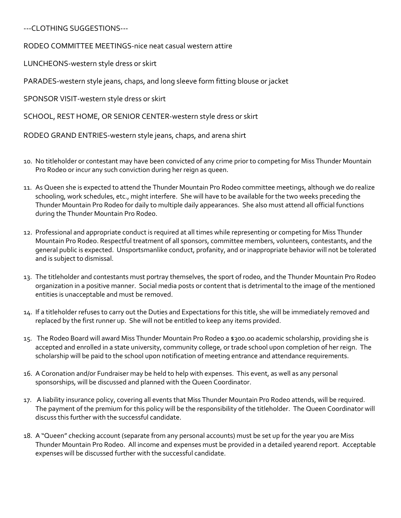---CLOTHING SUGGESTIONS---

RODEO COMMITTEE MEETINGS-nice neat casual western attire

LUNCHEONS-western style dress or skirt

PARADES-western style jeans, chaps, and long sleeve form fitting blouse or jacket

SPONSOR VISIT-western style dress or skirt

SCHOOL, REST HOME, OR SENIOR CENTER-western style dress or skirt

RODEO GRAND ENTRIES-western style jeans, chaps, and arena shirt

- 10. No titleholder or contestant may have been convicted of any crime prior to competing for Miss Thunder Mountain Pro Rodeo or incur any such conviction during her reign as queen.
- 11. As Queen she is expected to attend the Thunder Mountain Pro Rodeo committee meetings, although we do realize schooling, work schedules, etc., might interfere. She will have to be available for the two weeks preceding the Thunder Mountain Pro Rodeo for daily to multiple daily appearances. She also must attend all official functions during the Thunder Mountain Pro Rodeo.
- 12. Professional and appropriate conduct is required at all times while representing or competing for Miss Thunder Mountain Pro Rodeo. Respectful treatment of all sponsors, committee members, volunteers, contestants, and the general public is expected. Unsportsmanlike conduct, profanity, and or inappropriate behavior will not be tolerated and is subject to dismissal.
- 13. The titleholder and contestants must portray themselves, the sport of rodeo, and the Thunder Mountain Pro Rodeo organization in a positive manner. Social media posts or content that is detrimental to the image of the mentioned entities is unacceptable and must be removed.
- 14. If a titleholder refuses to carry out the Duties and Expectations for this title, she will be immediately removed and replaced by the first runner up. She will not be entitled to keep any items provided.
- 15. The Rodeo Board will award Miss Thunder Mountain Pro Rodeo a \$300.00 academic scholarship, providing she is accepted and enrolled in a state university, community college, or trade school upon completion of her reign. The scholarship will be paid to the school upon notification of meeting entrance and attendance requirements.
- 16. A Coronation and/or Fundraiser may be held to help with expenses. This event, as well as any personal sponsorships, will be discussed and planned with the Queen Coordinator.
- 17. A liability insurance policy, covering all events that Miss Thunder Mountain Pro Rodeo attends, will be required. The payment of the premium for this policy will be the responsibility of the titleholder. The Queen Coordinator will discuss this further with the successful candidate.
- 18. A "Queen" checking account (separate from any personal accounts) must be set up for the year you are Miss Thunder Mountain Pro Rodeo. All income and expenses must be provided in a detailed yearend report. Acceptable expenses will be discussed further with the successful candidate.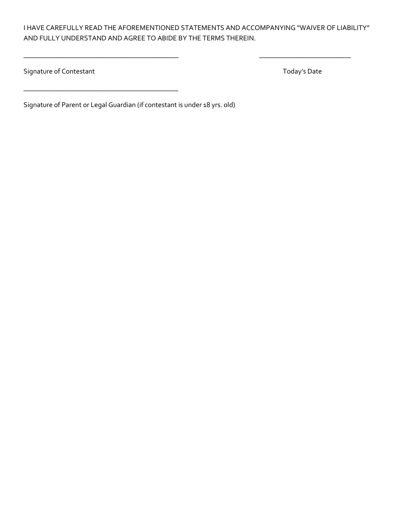I HAVE CAREFULLY READ THE AFOREMENTIONED STATEMENTS AND ACCOMPANYING "WAIVER OF LIABILITY" AND FULLY UNDERSTAND AND AGREE TO ABIDE BY THE TERMS THEREIN.

\_\_\_\_\_\_\_\_\_\_\_\_\_\_\_\_\_\_\_\_\_\_\_\_\_\_\_\_\_\_\_\_\_\_\_\_\_\_\_\_\_\_\_\_ \_\_\_\_\_\_\_\_\_\_\_\_\_\_\_\_\_\_\_\_\_\_\_\_\_\_

Signature of Contestant Today's Date

Signature of Parent or Legal Guardian (if contestant is under 18 yrs. old)

\_\_\_\_\_\_\_\_\_\_\_\_\_\_\_\_\_\_\_\_\_\_\_\_\_\_\_\_\_\_\_\_\_\_\_\_\_\_\_\_\_\_\_\_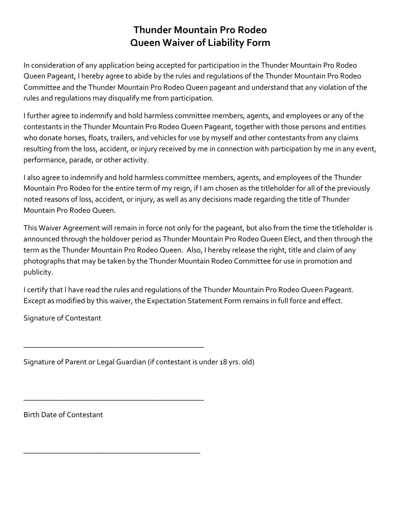### **Thunder Mountain Pro Rodeo Queen Waiver of Liability Form**

In consideration of any application being accepted for participation in the Thunder Mountain Pro Rodeo Queen Pageant, I hereby agree to abide by the rules and regulations of the Thunder Mountain Pro Rodeo Committee and the Thunder Mountain Pro Rodeo Queen pageant and understand that any violation of the rules and regulations may disqualify me from participation.

I further agree to indemnify and hold harmless committee members, agents, and employees or any of the contestants in the Thunder Mountain Pro Rodeo Queen Pageant, together with those persons and entities who donate horses, floats, trailers, and vehicles for use by myself and other contestants from any claims resulting from the loss, accident, or injury received by me in connection with participation by me in any event, performance, parade, or other activity.

I also agree to indemnify and hold harmless committee members, agents, and employees of the Thunder Mountain Pro Rodeo for the entire term of my reign, if I am chosen as the titleholder for all of the previously noted reasons of loss, accident, or injury, as well as any decisions made regarding the title of Thunder Mountain Pro Rodeo Queen.

This Waiver Agreement will remain in force not only for the pageant, but also from the time the titleholder is announced through the holdover period as Thunder Mountain Pro Rodeo Queen Elect, and then through the term as the Thunder Mountain Pro Rodeo Queen. Also, I hereby release the right, title and claim of any photographs that may be taken by the Thunder Mountain Rodeo Committee for use in promotion and publicity.

I certify that I have read the rules and regulations of the Thunder Mountain Pro Rodeo Queen Pageant. Except as modified by this waiver, the Expectation Statement Form remains in full force and effect.

Signature of Contestant

Signature of Parent or Legal Guardian (if contestant is under 18 yrs. old)

\_\_\_\_\_\_\_\_\_\_\_\_\_\_\_\_\_\_\_\_\_\_\_\_\_\_\_\_\_\_\_\_\_\_\_\_\_\_\_\_\_\_\_\_\_\_\_

\_\_\_\_\_\_\_\_\_\_\_\_\_\_\_\_\_\_\_\_\_\_\_\_\_\_\_\_\_\_\_\_\_\_\_\_\_\_\_\_\_\_\_\_\_\_\_

\_\_\_\_\_\_\_\_\_\_\_\_\_\_\_\_\_\_\_\_\_\_\_\_\_\_\_\_\_\_\_\_\_\_\_\_\_\_\_\_\_\_\_\_\_\_

Birth Date of Contestant